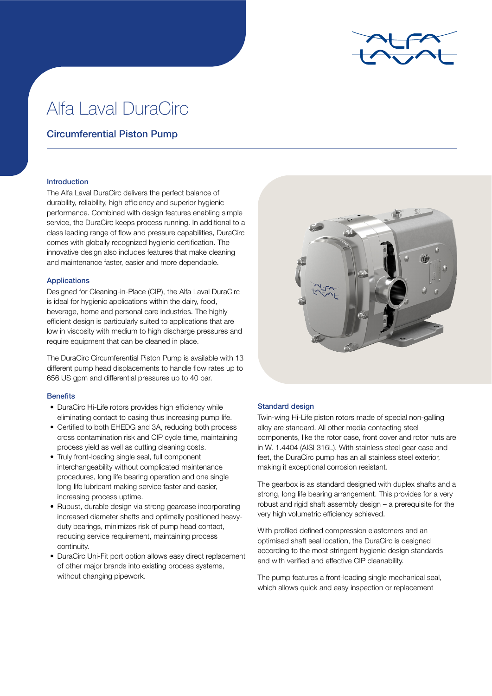

# Alfa Laval DuraCirc

# Circumferential Piston Pump

# Introduction

The Alfa Laval DuraCirc delivers the perfect balance of durability, reliability, high efficiency and superior hygienic performance. Combined with design features enabling simple service, the DuraCirc keeps process running. In additional to a class leading range of flow and pressure capabilities, DuraCirc comes with globally recognized hygienic certification. The innovative design also includes features that make cleaning and maintenance faster, easier and more dependable.

# Applications

Designed for Cleaning-in-Place (CIP), the Alfa Laval DuraCirc is ideal for hygienic applications within the dairy, food, beverage, home and personal care industries. The highly efficient design is particularly suited to applications that are low in viscosity with medium to high discharge pressures and require equipment that can be cleaned in place.

The DuraCirc Circumferential Piston Pump is available with 13 different pump head displacements to handle flow rates up to 656 US gpm and differential pressures up to 40 bar.

# **Benefits**

- DuraCirc Hi-Life rotors provides high efficiency while eliminating contact to casing thus increasing pump life.
- Certified to both EHEDG and 3A, reducing both process cross contamination risk and CIP cycle time, maintaining process yield as well as cutting cleaning costs.
- Truly front-loading single seal, full component interchangeability without complicated maintenance procedures, long life bearing operation and one single long-life lubricant making service faster and easier, increasing process uptime.
- Rubust, durable design via strong gearcase incorporating increased diameter shafts and optimally positioned heavyduty bearings, minimizes risk of pump head contact, reducing service requirement, maintaining process continuity.
- DuraCirc Uni-Fit port option allows easy direct replacement of other major brands into existing process systems, without changing pipework.



# Standard design

Twin-wing Hi-Life piston rotors made of special non-galling alloy are standard. All other media contacting steel components, like the rotor case, front cover and rotor nuts are in W. 1.4404 (AISI 316L). With stainless steel gear case and feet, the DuraCirc pump has an all stainless steel exterior, making it exceptional corrosion resistant.

The gearbox is as standard designed with duplex shafts and a strong, long life bearing arrangement. This provides for a very robust and rigid shaft assembly design – a prerequisite for the very high volumetric efficiency achieved.

With profiled defined compression elastomers and an optimised shaft seal location, the DuraCirc is designed according to the most stringent hygienic design standards and with verified and effective CIP cleanability.

The pump features a front-loading single mechanical seal, which allows quick and easy inspection or replacement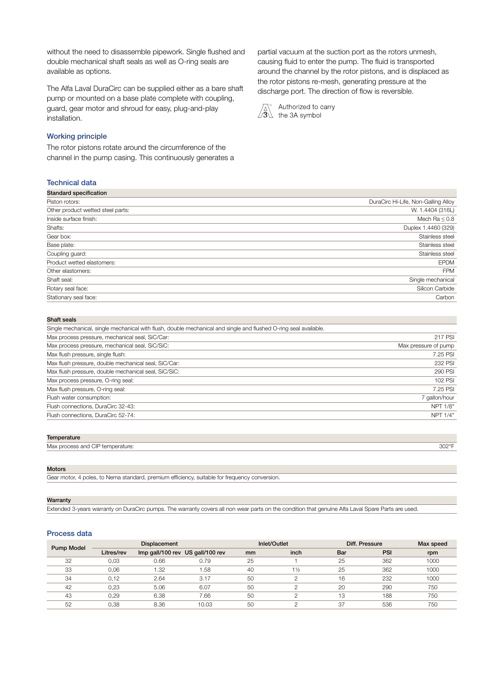without the need to disassemble pipework. Single flushed and double mechanical shaft seals as well as O-ring seals are available as options.

The Alfa Laval DuraCirc can be supplied either as a bare shaft pump or mounted on a base plate complete with coupling, guard, gear motor and shroud for easy, plug-and-play installation.

# Working principle

The rotor pistons rotate around the circumference of the channel in the pump casing. This continuously generates a partial vacuum at the suction port as the rotors unmesh, causing fluid to enter the pump. The fluid is transported around the channel by the rotor pistons, and is displaced as the rotor pistons re-mesh, generating pressure at the discharge port. The direction of flow is reversible.



Authorized to carry the 3A symbol

# Technical data

| DuraCirc Hi-Life, Non-Galling Alloy |
|-------------------------------------|
| W. 1.4404 (316L)                    |
| Mech Ra $\leq 0.8$                  |
| Duplex 1.4460 (329)                 |
| Stainless steel                     |
| Stainless steel                     |
| Stainless steel                     |
| <b>EPDM</b>                         |
| <b>FPM</b>                          |
| Single mechanical                   |
| Silicon Carbide                     |
| Carbon                              |
|                                     |

#### Shaft seals

| Single mechanical, single mechanical with flush, double mechanical and single and flushed O-ring seal available. |                      |
|------------------------------------------------------------------------------------------------------------------|----------------------|
| Max process pressure, mechanical seal, SiC/Car:                                                                  | 217 PSI              |
| Max process pressure, mechanical seal, SiC/SiC:                                                                  | Max pressure of pump |
| Max flush pressure, single flush:                                                                                | 7.25 PSI             |
| Max flush pressure, double mechanical seal, SiC/Car:                                                             | 232 PSI              |
| Max flush pressure, double mechanical seal, SiC/SiC:                                                             | 290 PSI              |
| Max process pressure, O-ring seal:                                                                               | 102 PSI              |
| Max flush pressure, O-ring seal:                                                                                 | 7.25 PSI             |
| Flush water consumption:                                                                                         | 7 gallon/hour        |
| Flush connections, DuraCirc 32-43:                                                                               | NPT 1/8"             |
| Flush connections, DuraCirc 52-74:                                                                               | NPT 1/4"             |
|                                                                                                                  |                      |

#### **Temperature**

| Max process and CIP temperature: | 302°F |
|----------------------------------|-------|
|----------------------------------|-------|

#### Motors

Gear motor, 4 poles, to Nema standard, premium efficiency, suitable for frequency conversion.

#### Warranty

Extended 3-years warranty on DuraCirc pumps. The warranty covers all non wear parts on the condition that genuine Alfa Laval Spare Parts are used.

### Process data

| <b>Pump Model</b> |            | <b>Displacement</b> |                                  |    | Inlet/Outlet   | Diff. Pressure | Max speed |      |  |
|-------------------|------------|---------------------|----------------------------------|----|----------------|----------------|-----------|------|--|
|                   | Litres/rev |                     | Imp gall/100 rev US gall/100 rev | mm | inch           | Bar            | PSI       | rpm  |  |
| 32                | 0.03       | 0.66                | 0.79                             | 25 |                | 25             | 362       | 1000 |  |
| 33                | 0.06       | 1.32                | .58                              | 40 | $1\frac{1}{2}$ | 25             | 362       | 1000 |  |
| 34                | 0.12       | 2.64                | 3.17                             | 50 |                | 16             | 232       | 1000 |  |
| 42                | 0.23       | 5.06                | 6.07                             | 50 |                | 20             | 290       | 750  |  |
| 43                | 0.29       | 6.38                | 7.66                             | 50 |                | 13             | 188       | 750  |  |
| 52                | 0.38       | 8.36                | 10.03                            | 50 |                | 37             | 536       | 750  |  |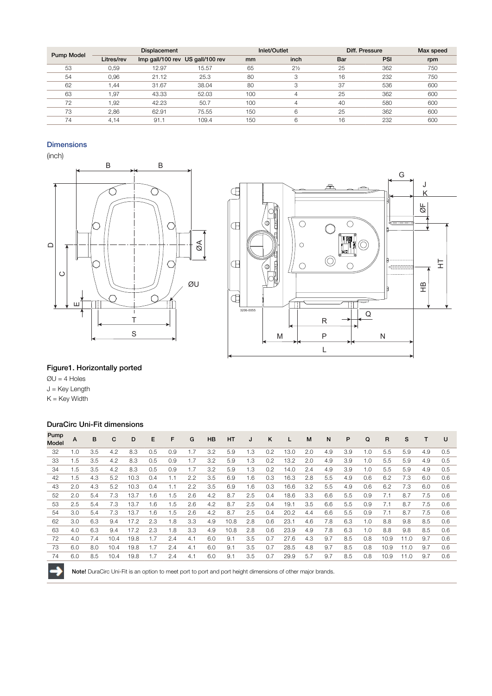|                   |            | Displacement |                                  |     | Inlet/Outlet   |     | Diff. Pressure | Max speed |
|-------------------|------------|--------------|----------------------------------|-----|----------------|-----|----------------|-----------|
| <b>Pump Model</b> | Litres/rev |              | Imp gall/100 rev US gall/100 rev | mm  | inch           | Bar | <b>PSI</b>     | rpm       |
| 53                | 0.59       | 12.97        | 15.57                            | 65  | $2\frac{1}{2}$ | 25  | 362            | 750       |
| 54                | 0.96       | 21.12        | 25.3                             | 80  | 3              | 16  | 232            | 750       |
| 62                | .44        | 31.67        | 38.04                            | 80  | 3              | 37  | 536            | 600       |
| 63                | .97        | 43.33        | 52.03                            | 100 | 4              | 25  | 362            | 600       |
| 72                | .92        | 42.23        | 50.7                             | 100 | Δ              | 40  | 580            | 600       |
| 73                | 2,86       | 62.91        | 75.55                            | 150 | 6              | 25  | 362            | 600       |
| 74                | 4.14       | 91.1         | 109.4                            | 150 | 6              | 16  | 232            | 600       |

# **Dimensions**

(inch)





# Figure1. Horizontally ported

 $QU = 4$  Holes J = Key Length  $K = Key$  Width

# DuraCirc Uni-Fit dimensions

| Pump<br>Model | A   | B   | C    | D    | E   | F   | G   | <b>HB</b> | <b>HT</b> | J   | K   | L    | M   | N   | P   | Q   | R    | s    |     | U   |
|---------------|-----|-----|------|------|-----|-----|-----|-----------|-----------|-----|-----|------|-----|-----|-----|-----|------|------|-----|-----|
| 32            | 1.0 | 3.5 | 4.2  | 8.3  | 0.5 | 0.9 | 1.7 | 3.2       | 5.9       | 1.3 | 0.2 | 13.0 | 2.0 | 4.9 | 3.9 | 1.0 | 5.5  | 5.9  | 4.9 | 0.5 |
| 33            | 1.5 | 3.5 | 4.2  | 8.3  | 0.5 | 0.9 | 1.7 | 3.2       | 5.9       | 1.3 | 0.2 | 13.2 | 2.0 | 4.9 | 3.9 | 1.0 | 5.5  | 5.9  | 4.9 | 0.5 |
| 34            | 1.5 | 3.5 | 4.2  | 8.3  | 0.5 | 0.9 | 1.7 | 3.2       | 5.9       | 1.3 | 0.2 | 14.0 | 2.4 | 4.9 | 3.9 | 1.0 | 5.5  | 5.9  | 4.9 | 0.5 |
| 42            | 1.5 | 4.3 | 5.2  | 10.3 | 0.4 | 1.1 | 2.2 | 3.5       | 6.9       | 1.6 | 0.3 | 16.3 | 2.8 | 5.5 | 4.9 | 0.6 | 6.2  | 7.3  | 6.0 | 0.6 |
| 43            | 2.0 | 4.3 | 5.2  | 10.3 | 0.4 | 1.1 | 2.2 | 3.5       | 6.9       | 1.6 | 0.3 | 16.6 | 3.2 | 5.5 | 4.9 | 0.6 | 6.2  | 7.3  | 6.0 | 0.6 |
| 52            | 2.0 | 5.4 | 7.3  | 13.7 | 1.6 | 1.5 | 2.6 | 4.2       | 8.7       | 2.5 | 0.4 | 18.6 | 3.3 | 6.6 | 5.5 | 0.9 | 7.1  | 8.7  | 7.5 | 0.6 |
| 53            | 2.5 | 5.4 | 7.3  | 13.7 | 1.6 | 1.5 | 2.6 | 4.2       | 8.7       | 2.5 | 0.4 | 19.1 | 3.5 | 6.6 | 5.5 | 0.9 | 7.1  | 8.7  | 7.5 | 0.6 |
| 54            | 3.0 | 5.4 | 7.3  | 13.7 | 1.6 | 1.5 | 2.6 | 4.2       | 8.7       | 2.5 | 0.4 | 20.2 | 4.4 | 6.6 | 5.5 | 0.9 | 7.1  | 8.7  | 7.5 | 0.6 |
| 62            | 3.0 | 6.3 | 9.4  | 17.2 | 2.3 | 1.8 | 3.3 | 4.9       | 10.8      | 2.8 | 0.6 | 23.1 | 4.6 | 7.8 | 6.3 | 1.0 | 8.8  | 9.8  | 8.5 | 0.6 |
| 63            | 4.0 | 6.3 | 9.4  | 17.2 | 2.3 | 1.8 | 3.3 | 4.9       | 10.8      | 2.8 | 0.6 | 23.9 | 4.9 | 7.8 | 6.3 | 1.0 | 8.8  | 9.8  | 8.5 | 0.6 |
| 72            | 4.0 | 7.4 | 10.4 | 19.8 | 1.7 | 2.4 | 4.1 | 6.0       | 9.1       | 3.5 | 0.7 | 27.6 | 4.3 | 9.7 | 8.5 | 0.8 | 10.9 | 11.0 | 9.7 | 0.6 |
| 73            | 6.0 | 8.0 | 10.4 | 19.8 | 1.7 | 2.4 | 4.1 | 6.0       | 9.1       | 3.5 | 0.7 | 28.5 | 4.8 | 9.7 | 8.5 | 0.8 | 10.9 | 11.0 | 9.7 | 0.6 |
| 74            | 6.0 | 8.5 | 10.4 | 19.8 | 1.7 | 2.4 | 4.1 | 6.0       | 9.1       | 3.5 | 0.7 | 29.9 | 5.7 | 9.7 | 8.5 | 0.8 | 10.9 | 11.0 | 9.7 | 0.6 |



Note! DuraCirc Uni-Fit is an option to meet port to port and port height dimensions of other major brands.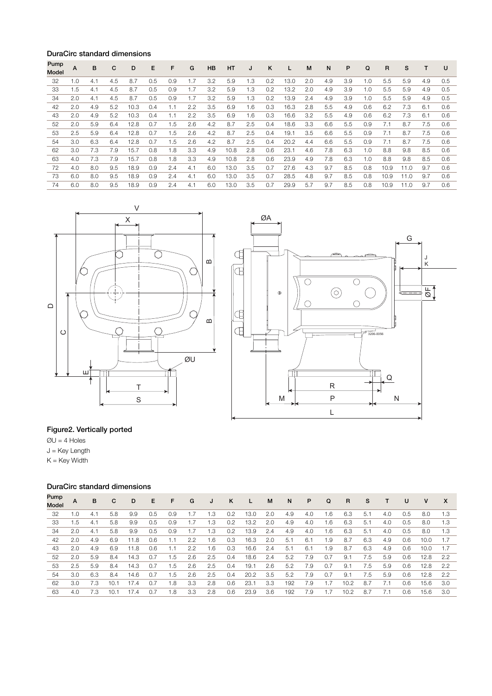# DuraCirc standard dimensions

| Pump<br>Model | A   | B   | C   | D    | E   | F   | G   | <b>HB</b> | <b>HT</b> | J             | K             | L    | M   | N   | P   | Q   | R    | S    |     | U   |
|---------------|-----|-----|-----|------|-----|-----|-----|-----------|-----------|---------------|---------------|------|-----|-----|-----|-----|------|------|-----|-----|
| 32            | 1.0 | 4.1 | 4.5 | 8.7  | 0.5 | 0.9 | 1.7 | 3.2       | 5.9       | 1.3           | 0.2           | 13.0 | 2.0 | 4.9 | 3.9 | 1.0 | 5.5  | 5.9  | 4.9 | 0.5 |
| 33            | 1.5 | 4.1 | 4.5 | 8.7  | 0.5 | 0.9 | 1.7 | 3.2       | 5.9       | 1.3           | $0.2^{\circ}$ | 13.2 | 2.0 | 4.9 | 3.9 | 1.0 | 5.5  | 5.9  | 4.9 | 0.5 |
| 34            | 2.0 | 4.1 | 4.5 | 8.7  | 0.5 | 0.9 | 1.7 | 3.2       | 5.9       | 1.3           | 0.2           | 13.9 | 2.4 | 4.9 | 3.9 | 1.0 | 5.5  | 5.9  | 4.9 | 0.5 |
| 42            | 2.0 | 4.9 | 5.2 | 10.3 | 0.4 | 1.1 | 2.2 | 3.5       | 6.9       | 1.6           | 0.3           | 16.3 | 2.8 | 5.5 | 4.9 | 0.6 | 6.2  | 7.3  | 6.1 | 0.6 |
| 43            | 2.0 | 4.9 | 5.2 | 10.3 | 0.4 | 1.1 | 2.2 | 3.5       | 6.9       | 1.6           | 0.3           | 16.6 | 3.2 | 5.5 | 4.9 | 0.6 | 6.2  | 7.3  | 6.1 | 0.6 |
| 52            | 2.0 | 5.9 | 6.4 | 12.8 | 0.7 | 1.5 | 2.6 | 4.2       | 8.7       | 2.5           | 0.4           | 18.6 | 3.3 | 6.6 | 5.5 | 0.9 | 7.1  | 8.7  | 7.5 | 0.6 |
| 53            | 2.5 | 5.9 | 6.4 | 12.8 | 0.7 | 1.5 | 2.6 | 4.2       | 8.7       | 2.5           | 0.4           | 19.1 | 3.5 | 6.6 | 5.5 | 0.9 | 7.1  | 8.7  | 7.5 | 0.6 |
| 54            | 3.0 | 6.3 | 6.4 | 12.8 | 0.7 | 1.5 | 2.6 | 4.2       | 8.7       | 2.5           | 0.4           | 20.2 | 4.4 | 6.6 | 5.5 | 0.9 | 7.1  | 8.7  | 7.5 | 0.6 |
| 62            | 3.0 | 7.3 | 7.9 | 15.7 | 0.8 | 1.8 | 3.3 | 4.9       | 10.8      | 2.8           | 0.6           | 23.1 | 4.6 | 7.8 | 6.3 | 1.0 | 8.8  | 9.8  | 8.5 | 0.6 |
| 63            | 4.0 | 7.3 | 7.9 | 15.7 | 0.8 | 1.8 | 3.3 | 4.9       | 10.8      | 2.8           | 0.6           | 23.9 | 4.9 | 7.8 | 6.3 | 1.0 | 8.8  | 9.8  | 8.5 | 0.6 |
| 72            | 4.0 | 8.0 | 9.5 | 18.9 | 0.9 | 2.4 | 4.1 | 6.0       | 13.0      | 3.5           | 0.7           | 27.6 | 4.3 | 9.7 | 8.5 | 0.8 | 10.9 | 11.0 | 9.7 | 0.6 |
| 73            | 6.0 | 8.0 | 9.5 | 18.9 | 0.9 | 2.4 | 4.1 | 6.0       | 13.0      | $3.5^{\circ}$ | 0.7           | 28.5 | 4.8 | 9.7 | 8.5 | 0.8 | 10.9 | 11.0 | 97  | 0.6 |
| 74            | 6.0 | 8.0 | 9.5 | 18.9 | 0.9 | 2.4 | 4.1 | 6.0       | 13.0      | 3.5           | 0.7           | 29.9 | 5.7 | 9.7 | 8.5 | 0.8 | 10.9 | 11.0 | 9.7 | 0.6 |





# Figure2. Vertically ported

 $QU = 4$  Holes

J = Key Length

 $K = Key$  Width

# DuraCirc standard dimensions

| A   | в   | C    | D    | F   | F   | G   | J   | ĸ   |      | M   | N   | P   | Q   | R    | s   |     | U   | v    | X   |
|-----|-----|------|------|-----|-----|-----|-----|-----|------|-----|-----|-----|-----|------|-----|-----|-----|------|-----|
| 1.0 | 4.1 | 5.8  | 9.9  | 0.5 | 0.9 | 1.7 | 1.3 | 0.2 | 13.0 | 2.0 | 4.9 | 4.0 | 1.6 | 6.3  | 5.1 | 4.0 | 0.5 | 8.0  | 1.3 |
| 1.5 | 4.1 | 5.8  | 9.9  | 0.5 | 0.9 | 1.7 | 1.3 | 0.2 | 13.2 | 2.0 | 4.9 | 4.0 | 1.6 | 6.3  | 5.1 | 4.0 | 0.5 | 8.0  | 1.3 |
| 2.0 | 4.1 | 5.8  | 9.9  | 0.5 | 0.9 | 1.7 | 1.3 | 0.2 | 13.9 | 2.4 | 4.9 | 4.0 | 1.6 | 6.3  | 5.1 | 4.0 | 0.5 | 8.0  | 1.3 |
| 2.0 | 4.9 | 6.9  | 11.8 | 0.6 | ا . | 2.2 | 1.6 | 0.3 | 16.3 | 2.0 | 5.1 | 6.1 | 1.9 | 8.7  | 6.3 | 4.9 | 0.6 | 10.0 | 1.7 |
| 2.0 | 4.9 | 6.9  | 11.8 | 0.6 | 1.1 | 2.2 | 1.6 | 0.3 | 16.6 | 2.4 | 5.1 | 6.1 | 1.9 | 8.7  | 6.3 | 4.9 | 0.6 | 10.0 | 1.7 |
| 2.0 | 5.9 | 8.4  | 14.3 | 0.7 | .5  | 2.6 | 2.5 | 0.4 | 18.6 | 2.4 | 5.2 | 7.9 | 0.7 | 9.1  | 7.5 | 5.9 | 0.6 | 12.8 | 2.2 |
| 2.5 | 5.9 | 8.4  | 14.3 | 0.7 | .5  | 2.6 | 2.5 | 0.4 | 19.1 | 2.6 | 5.2 | 7.9 | 0.7 | 9.1  | 7.5 | 5.9 | 0.6 | 12.8 | 2.2 |
| 3.0 | 6.3 | 8.4  | 14.6 | 0.7 | .5  | 2.6 | 2.5 | 0.4 | 20.2 | 3.5 | 5.2 | 7.9 | 0.7 | 9.1  | 7.5 | 5.9 | 0.6 | 12.8 | 2.2 |
| 3.0 | 7.3 | 10.1 | 17.4 | 0.7 | .8  | 3.3 | 2.8 | 0.6 | 23.1 | 3.3 | 192 | 7.9 | 1.7 | 10.2 | 8.7 | 7.1 | 0.6 | 15.6 | 3.0 |
| 4.0 | 7.3 | 10.1 | 174  | 0.7 | .8  | 3.3 | 2.8 | 0.6 | 23.9 | 3.6 | 192 | 7.9 | 1.7 | 10.2 | 8.7 | 7.1 | 0.6 | 15.6 | 3.0 |
|     |     |      |      |     |     |     |     |     |      |     |     |     |     |      |     |     |     |      |     |